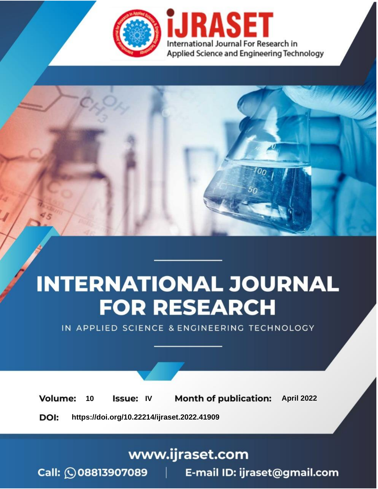

# **INTERNATIONAL JOURNAL FOR RESEARCH**

IN APPLIED SCIENCE & ENGINEERING TECHNOLOGY

10 **Issue: IV Month of publication:** April 2022 **Volume:** 

**https://doi.org/10.22214/ijraset.2022.41909**DOI:

www.ijraset.com

Call: 008813907089 | E-mail ID: ijraset@gmail.com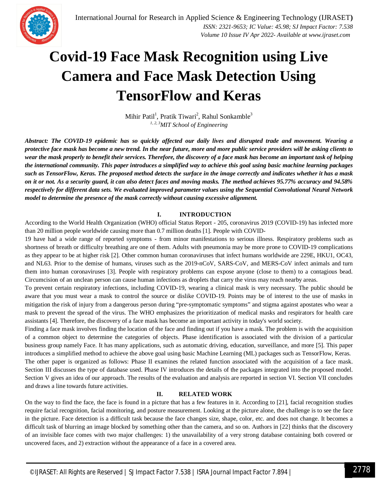

### **Covid-19 Face Mask Recognition using Live Camera and Face Mask Detection Using TensorFlow and Keras**

Mihir Patil<sup>1</sup>, Pratik Tiwari<sup>2</sup>, Rahul Sonkamble<sup>3</sup> *1, 2, 3MIT School of Engineering*

*Abstract: The COVID-19 epidemic has so quickly affected our daily lives and disrupted trade and movement. Wearing a protective face mask has become a new trend. In the near future, more and more public service providers will be asking clients to wear the mask properly to benefit their services. Therefore, the discovery of a face mask has become an important task of helping the international community. This paper introduces a simplified way to achieve this goal using basic machine learning packages such as TensorFlow, Keras. The proposed method detects the surface in the image correctly and indicates whether it has a mask on it or not. As a security guard, it can also detect faces and moving masks. The method achieves 95.77% accuracy and 94.58% respectively for different data sets. We evaluated improved parameter values using the Sequential Convolutional Neural Network model to determine the presence of the mask correctly without causing excessive alignment.*

#### **I. INTRODUCTION**

According to the World Health Organization (WHO) official Status Report - 205, coronavirus 2019 (COVID-19) has infected more than 20 million people worldwide causing more than 0.7 million deaths [1]. People with COVID-

19 have had a wide range of reported symptoms - from minor manifestations to serious illness. Respiratory problems such as shortness of breath or difficulty breathing are one of them. Adults with pneumonia may be more prone to COVID-19 complications as they appear to be at higher risk [2]. Other common human coronaviruses that infect humans worldwide are 229E, HKU1, OC43, and NL63. Prior to the demise of humans, viruses such as the 2019-nCoV, SARS-CoV, and MERS-CoV infect animals and turn them into human coronaviruses [3]. People with respiratory problems can expose anyone (close to them) to a contagious bead. Circumcision of an unclean person can cause human infections as droplets that carry the virus may reach nearby areas.

To prevent certain respiratory infections, including COVID-19, wearing a clinical mask is very necessary. The public should be aware that you must wear a mask to control the source or dislike COVID-19. Points may be of interest to the use of masks in mitigation the risk of injury from a dangerous person during "pre-symptomatic symptoms" and stigma against apostates who wear a mask to prevent the spread of the virus. The WHO emphasizes the prioritization of medical masks and respirators for health care assistants [4]. Therefore, the discovery of a face mask has become an important activity in today's world society.

Finding a face mask involves finding the location of the face and finding out if you have a mask. The problem is with the acquisition of a common object to determine the categories of objects. Phase identification is associated with the division of a particular business group namely Face. It has many applications, such as automatic driving, education, surveillance, and more [5]. This paper introduces a simplified method to achieve the above goal using basic Machine Learning (ML) packages such as TensorFlow, Keras. The other paper is organized as follows: Phase II examines the related function associated with the acquisition of a face mask. Section III discusses the type of database used. Phase IV introduces the details of the packages integrated into the proposed model. Section V gives an idea of our approach. The results of the evaluation and analysis are reported in section VI. Section VII concludes and draws a line towards future activities.

#### **II. RELATED WORK**

On the way to find the face, the face is found in a picture that has a few features in it. According to [21], facial recognition studies require facial recognition, facial monitoring, and posture measurement. Looking at the picture alone, the challenge is to see the face in the picture. Face detection is a difficult task because the face changes size, shape, color, etc. and does not change. It becomes a difficult task of blurring an image blocked by something other than the camera, and so on. Authors in [22] thinks that the discovery of an invisible face comes with two major challenges: 1) the unavailability of a very strong database containing both covered or uncovered faces, and 2) extraction without the appearance of a face in a covered area.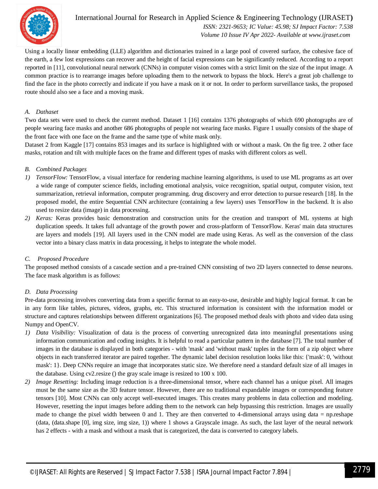

#### International Journal for Research in Applied Science & Engineering Technology (IJRASET**)**  *ISSN: 2321-9653; IC Value: 45.98; SJ Impact Factor: 7.538 Volume 10 Issue IV Apr 2022- Available at www.ijraset.com*

Using a locally linear embedding (LLE) algorithm and dictionaries trained in a large pool of covered surface, the cohesive face of the earth, a few lost expressions can recover and the height of facial expressions can be significantly reduced. According to a report reported in [11], convolutional neural network (CNNs) in computer vision comes with a strict limit on the size of the input image. A common practice is to rearrange images before uploading them to the network to bypass the block. Here's a great job challenge to find the face in the photo correctly and indicate if you have a mask on it or not. In order to perform surveillance tasks, the proposed route should also see a face and a moving mask.

#### *A. Dathaset*

Two data sets were used to check the current method. Dataset 1 [16] contains 1376 photographs of which 690 photographs are of people wearing face masks and another 686 photographs of people not wearing face masks. Figure 1 usually consists of the shape of the front face with one face on the frame and the same type of white mask only.

Dataset 2 from Kaggle [17] contains 853 images and its surface is highlighted with or without a mask. On the fig tree. 2 other face masks, rotation and tilt with multiple faces on the frame and different types of masks with different colors as well.

#### *B. Combined Packages*

- *1) TensorFlow:* TensorFlow, a visual interface for rendering machine learning algorithms, is used to use ML programs as art over a wide range of computer science fields, including emotional analysis, voice recognition, spatial output, computer vision, text summarization, retrieval information, computer programming. drug discovery and error detection to pursue research [18]. In the proposed model, the entire Sequential CNN architecture (containing a few layers) uses TensorFlow in the backend. It is also used to resize data (image) in data processing.
- *2) Keras:* Keras provides basic demonstration and construction units for the creation and transport of ML systems at high duplication speeds. It takes full advantage of the growth power and cross-platform of TensorFlow. Keras' main data structures are layers and models [19]. All layers used in the CNN model are made using Keras. As well as the conversion of the class vector into a binary class matrix in data processing, it helps to integrate the whole model.

#### *C. Proposed Procedure*

The proposed method consists of a cascade section and a pre-trained CNN consisting of two 2D layers connected to dense neurons. The face mask algorithm is as follows:

#### *D. Data Processing*

Pre-data processing involves converting data from a specific format to an easy-to-use, desirable and highly logical format. It can be in any form like tables, pictures, videos, graphs, etc. This structured information is consistent with the information model or structure and captures relationships between different organizations [6]. The proposed method deals with photo and video data using Numpy and OpenCV.

- *1) Data Visibility:* Visualization of data is the process of converting unrecognized data into meaningful presentations using information communication and coding insights. It is helpful to read a particular pattern in the database [7]. The total number of images in the database is displayed in both categories - with 'mask' and 'without mask' tuples in the form of a zip object where objects in each transferred iterator are paired together. The dynamic label decision resolution looks like this: {'mask': 0, 'without mask': 1}. Deep CNNs require an image that incorporates static size. We therefore need a standard default size of all images in the database. Using cv2.resize () the gray scale image is resized to 100 x 100.
- *2) Image Resetting:* Including image reduction is a three-dimensional tensor, where each channel has a unique pixel. All images must be the same size as the 3D feature tensor. However, there are no traditional expandable images or corresponding feature tensors [10]. Most CNNs can only accept well-executed images. This creates many problems in data collection and modeling. However, resetting the input images before adding them to the network can help bypassing this restriction. Images are usually made to change the pixel width between 0 and 1. They are then converted to 4-dimensional arrays using data = np.reshape (data, (data.shape [0], img size, img size, 1)) where 1 shows a Grayscale image. As such, the last layer of the neural network has 2 effects - with a mask and without a mask that is categorized, the data is converted to category labels.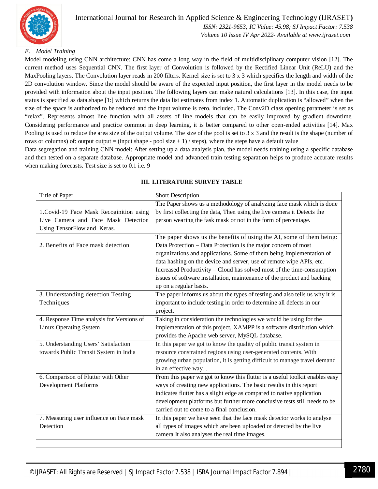

### International Journal for Research in Applied Science & Engineering Technology (IJRASET**)**

 *ISSN: 2321-9653; IC Value: 45.98; SJ Impact Factor: 7.538 Volume 10 Issue IV Apr 2022- Available at www.ijraset.com*

#### *E. Model Training*

Model modeling using CNN architecture: CNN has come a long way in the field of multidisciplinary computer vision [12]. The current method uses Sequential CNN. The first layer of Convolution is followed by the Rectified Linear Unit (ReLU) and the MaxPooling layers. The Convolution layer reads in 200 filters. Kernel size is set to 3 x 3 which specifies the length and width of the 2D convolution window. Since the model should be aware of the expected input position, the first layer in the model needs to be provided with information about the input position. The following layers can make natural calculations [13]. In this case, the input status is specified as data.shape [1:] which returns the data list estimates from index 1. Automatic duplication is "allowed" when the size of the space is authorized to be reduced and the input volume is zero. included. The Conv2D class opening parameter is set as "relax". Represents almost line function with all assets of line models that can be easily improved by gradient downtime. Considering performance and practice common in deep learning, it is better compared to other open-ended activities [14]. Max Pooling is used to reduce the area size of the output volume. The size of the pool is set to 3 x 3 and the result is the shape (number of rows or columns) of: output output = (input shape - pool size  $+1$ ) / steps), where the steps have a default value

Data segregation and training CNN model: After setting up a data analysis plan, the model needs training using a specific database and then tested on a separate database. Appropriate model and advanced train testing separation helps to produce accurate results when making forecasts. Test size is set to 0.1 i.e. 9

| Title of Paper                            | <b>Short Description</b>                                                     |
|-------------------------------------------|------------------------------------------------------------------------------|
|                                           | The Paper shows us a methodology of analyzing face mask which is done        |
| 1. Covid-19 Face Mask Recoginition using  | by first collecting the data, Then using the live camera it Detects the      |
| Live Camera and Face Mask Detection       | person wearing the fask mask or not in the form of percentage.               |
| Using TensorFlow and Keras.               |                                                                              |
|                                           | The paper shows us the benefits of using the AI, some of them being:         |
| 2. Benefits of Face mask detection        | Data Protection - Data Protection is the major concern of most               |
|                                           | organizations and applications. Some of them being Implementation of         |
|                                           | data hashing on the device and server, use of remote wipe APIs, etc.         |
|                                           | Increased Productivity – Cloud has solved most of the time-consumption       |
|                                           | issues of software installation, maintenance of the product and backing      |
|                                           | up on a regular basis.                                                       |
| 3. Understanding detection Testing        | The paper informs us about the types of testing and also tells us why it is  |
| Techniques                                | important to include testing in order to determine all defects in our        |
|                                           | project.                                                                     |
| 4. Response Time analysis for Versions of | Taking in consideration the technologies we would be using for the           |
| <b>Linux Operating System</b>             | implementation of this project, XAMPP is a software distribution which       |
|                                           | provides the Apache web server, MySQL database.                              |
| 5. Understanding Users' Satisfaction      | In this paper we got to know the quality of public transit system in         |
| towards Public Transit System in India    | resource constrained regions using user-generated contents. With             |
|                                           | growing urban population, it is getting difficult to manage travel demand    |
|                                           | in an effective way                                                          |
| 6. Comparison of Flutter with Other       | From this paper we got to know this flutter is a useful toolkit enables easy |
| <b>Development Platforms</b>              | ways of creating new applications. The basic results in this report          |
|                                           | indicates flutter has a slight edge as compared to native application        |
|                                           | development platforms but further more conclusive tests still needs to be    |
|                                           | carried out to come to a final conclusion.                                   |
| 7. Measuring user influence on Face mask  | In this paper we have seen that the face mask detector works to analyse      |
| Detection                                 | all types of images which are been uploaded or detected by the live          |
|                                           | camera It also analyses the real time images.                                |
|                                           |                                                                              |

#### **III. LITERATURE SURVEY TABLE**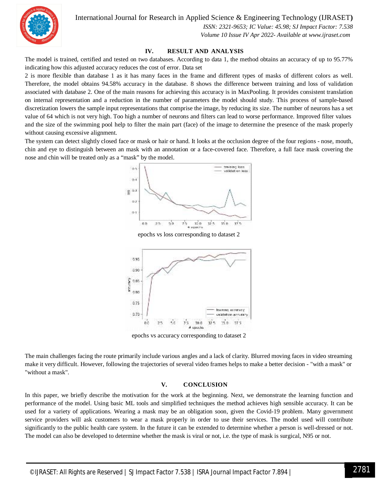International Journal for Research in Applied Science & Engineering Technology (IJRASET**)**



 *ISSN: 2321-9653; IC Value: 45.98; SJ Impact Factor: 7.538 Volume 10 Issue IV Apr 2022- Available at www.ijraset.com*

#### **IV. RESULT AND ANALYSIS**

The model is trained, certified and tested on two databases. According to data 1, the method obtains an accuracy of up to 95.77% indicating how this adjusted accuracy reduces the cost of error. Data set

2 is more flexible than database 1 as it has many faces in the frame and different types of masks of different colors as well. Therefore, the model obtains 94.58% accuracy in the database. 8 shows the difference between training and loss of validation associated with database 2. One of the main reasons for achieving this accuracy is in MaxPooling. It provides consistent translation on internal representation and a reduction in the number of parameters the model should study. This process of sample-based discretization lowers the sample input representations that comprise the image, by reducing its size. The number of neurons has a set value of 64 which is not very high. Too high a number of neurons and filters can lead to worse performance. Improved filter values and the size of the swimming pool help to filter the main part (face) of the image to determine the presence of the mask properly without causing excessive alignment.

The system can detect slightly closed face or mask or hair or hand. It looks at the occlusion degree of the four regions - nose, mouth, chin and eye to distinguish between an mask with an annotation or a face-covered face. Therefore, a full face mask covering the nose and chin will be treated only as a "mask" by the model.





epochs vs accuracy corresponding to dataset 2

The main challenges facing the route primarily include various angles and a lack of clarity. Blurred moving faces in video streaming make it very difficult. However, following the trajectories of several video frames helps to make a better decision - "with a mask" or "without a mask".

#### **V. CONCLUSION**

In this paper, we briefly describe the motivation for the work at the beginning. Next, we demonstrate the learning function and performance of the model. Using basic ML tools and simplified techniques the method achieves high sensible accuracy. It can be used for a variety of applications. Wearing a mask may be an obligation soon, given the Covid-19 problem. Many government service providers will ask customers to wear a mask properly in order to use their services. The model used will contribute significantly to the public health care system. In the future it can be extended to determine whether a person is well-dressed or not. The model can also be developed to determine whether the mask is viral or not, i.e. the type of mask is surgical, N95 or not.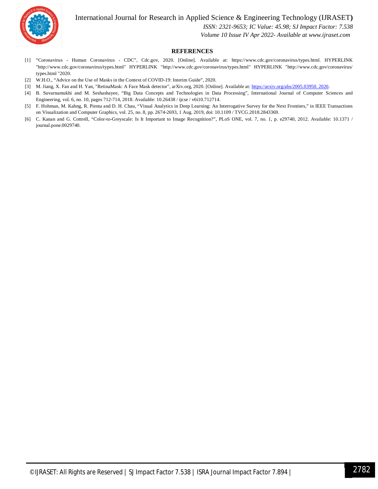International Journal for Research in Applied Science & Engineering Technology (IJRASET**)**



 *ISSN: 2321-9653; IC Value: 45.98; SJ Impact Factor: 7.538 Volume 10 Issue IV Apr 2022- Available at www.ijraset.com*

#### **REFERENCES**

- [1] "Coronavirus Human Coronavirus CDC", Cdc.gov, 2020. [Online]. Available at: https://www.cdc.gov/coronavirus/types.html. HYPERLINK "http://www.cdc.gov/coronavirus/types.html" HYPERLINK "http://www.cdc.gov/coronavirus/types.html" HYPERLINK "http://www.cdc.gov/coronavirus/ types.html "2020.
- [2] W.H.O., "Advice on the Use of Masks in the Context of COVID-19: Interim Guide", 2020.
- [3] M. Jiang, X. Fan and H. Yan, "RetinaMask: A Face Mask detector", arXiv.org, 2020. [Online]. Available at: https://arxiv.org/abs/2005.03950. 2020.
- [4] B. Suvarnamukhi and M. Seshashayee, "Big Data Concepts and Technologies in Data Processing", International Journal of Computer Sciences and Engineering, vol. 6, no. 10, pages 712-714, 2018. Available: 10.26438 / ijcse / v6i10.712714.
- [5] F. Hohman, M. Kahng, R. Pienta and D. H. Chau, "Visual Analytics in Deep Learning: An Interrogative Survey for the Next Frontiers," in IEEE Transactions on Visualization and Computer Graphics, vol. 25, no. 8, pp. 2674-2693, 1 Aug. 2019, doi: 10.1109 / TVCG.2018.2843369.
- [6] C. Kanan and G. Cottrell, "Color-to-Greyscale: Is It Important to Image Recognition?", PLoS ONE, vol. 7, no. 1, p. e29740, 2012. Available: 10.1371 / journal.pone.0029740.